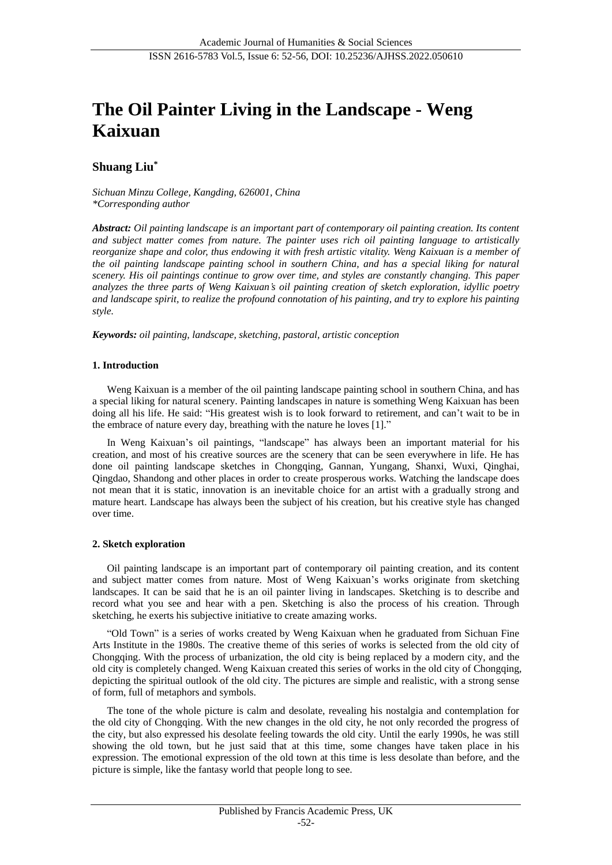# **The Oil Painter Living in the Landscape - Weng Kaixuan**

# **Shuang Liu\***

*Sichuan Minzu College, Kangding, 626001, China \*Corresponding author*

*Abstract: Oil painting landscape is an important part of contemporary oil painting creation. Its content and subject matter comes from nature. The painter uses rich oil painting language to artistically reorganize shape and color, thus endowing it with fresh artistic vitality. Weng Kaixuan is a member of the oil painting landscape painting school in southern China, and has a special liking for natural scenery. His oil paintings continue to grow over time, and styles are constantly changing. This paper analyzes the three parts of Weng Kaixuan's oil painting creation of sketch exploration, idyllic poetry and landscape spirit, to realize the profound connotation of his painting, and try to explore his painting style.*

*Keywords: oil painting, landscape, sketching, pastoral, artistic conception*

## **1. Introduction**

Weng Kaixuan is a member of the oil painting landscape painting school in southern China, and has a special liking for natural scenery. Painting landscapes in nature is something Weng Kaixuan has been doing all his life. He said: "His greatest wish is to look forward to retirement, and can't wait to be in the embrace of nature every day, breathing with the nature he loves [1]."

In Weng Kaixuan's oil paintings, "landscape" has always been an important material for his creation, and most of his creative sources are the scenery that can be seen everywhere in life. He has done oil painting landscape sketches in Chongqing, Gannan, Yungang, Shanxi, Wuxi, Qinghai, Qingdao, Shandong and other places in order to create prosperous works. Watching the landscape does not mean that it is static, innovation is an inevitable choice for an artist with a gradually strong and mature heart. Landscape has always been the subject of his creation, but his creative style has changed over time.

## **2. Sketch exploration**

Oil painting landscape is an important part of contemporary oil painting creation, and its content and subject matter comes from nature. Most of Weng Kaixuan's works originate from sketching landscapes. It can be said that he is an oil painter living in landscapes. Sketching is to describe and record what you see and hear with a pen. Sketching is also the process of his creation. Through sketching, he exerts his subjective initiative to create amazing works.

"Old Town" is a series of works created by Weng Kaixuan when he graduated from Sichuan Fine Arts Institute in the 1980s. The creative theme of this series of works is selected from the old city of Chongqing. With the process of urbanization, the old city is being replaced by a modern city, and the old city is completely changed. Weng Kaixuan created this series of works in the old city of Chongqing, depicting the spiritual outlook of the old city. The pictures are simple and realistic, with a strong sense of form, full of metaphors and symbols.

The tone of the whole picture is calm and desolate, revealing his nostalgia and contemplation for the old city of Chongqing. With the new changes in the old city, he not only recorded the progress of the city, but also expressed his desolate feeling towards the old city. Until the early 1990s, he was still showing the old town, but he just said that at this time, some changes have taken place in his expression. The emotional expression of the old town at this time is less desolate than before, and the picture is simple, like the fantasy world that people long to see.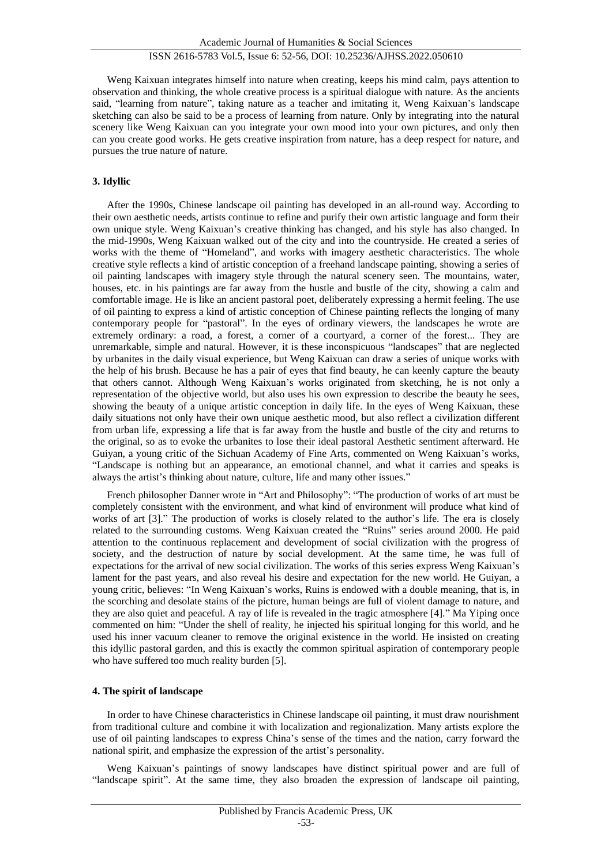# ISSN 2616-5783 Vol.5, Issue 6: 52-56, DOI: 10.25236/AJHSS.2022.050610

Weng Kaixuan integrates himself into nature when creating, keeps his mind calm, pays attention to observation and thinking, the whole creative process is a spiritual dialogue with nature. As the ancients said, "learning from nature", taking nature as a teacher and imitating it, Weng Kaixuan's landscape sketching can also be said to be a process of learning from nature. Only by integrating into the natural scenery like Weng Kaixuan can you integrate your own mood into your own pictures, and only then can you create good works. He gets creative inspiration from nature, has a deep respect for nature, and pursues the true nature of nature.

#### **3. Idyllic**

After the 1990s, Chinese landscape oil painting has developed in an all-round way. According to their own aesthetic needs, artists continue to refine and purify their own artistic language and form their own unique style. Weng Kaixuan's creative thinking has changed, and his style has also changed. In the mid-1990s, Weng Kaixuan walked out of the city and into the countryside. He created a series of works with the theme of "Homeland", and works with imagery aesthetic characteristics. The whole creative style reflects a kind of artistic conception of a freehand landscape painting, showing a series of oil painting landscapes with imagery style through the natural scenery seen. The mountains, water, houses, etc. in his paintings are far away from the hustle and bustle of the city, showing a calm and comfortable image. He is like an ancient pastoral poet, deliberately expressing a hermit feeling. The use of oil painting to express a kind of artistic conception of Chinese painting reflects the longing of many contemporary people for "pastoral". In the eyes of ordinary viewers, the landscapes he wrote are extremely ordinary: a road, a forest, a corner of a courtyard, a corner of the forest... They are unremarkable, simple and natural. However, it is these inconspicuous "landscapes" that are neglected by urbanites in the daily visual experience, but Weng Kaixuan can draw a series of unique works with the help of his brush. Because he has a pair of eyes that find beauty, he can keenly capture the beauty that others cannot. Although Weng Kaixuan's works originated from sketching, he is not only a representation of the objective world, but also uses his own expression to describe the beauty he sees, showing the beauty of a unique artistic conception in daily life. In the eyes of Weng Kaixuan, these daily situations not only have their own unique aesthetic mood, but also reflect a civilization different from urban life, expressing a life that is far away from the hustle and bustle of the city and returns to the original, so as to evoke the urbanites to lose their ideal pastoral Aesthetic sentiment afterward. He Guiyan, a young critic of the Sichuan Academy of Fine Arts, commented on Weng Kaixuan's works, "Landscape is nothing but an appearance, an emotional channel, and what it carries and speaks is always the artist's thinking about nature, culture, life and many other issues."

French philosopher Danner wrote in "Art and Philosophy": "The production of works of art must be completely consistent with the environment, and what kind of environment will produce what kind of works of art [3]." The production of works is closely related to the author's life. The era is closely related to the surrounding customs. Weng Kaixuan created the "Ruins" series around 2000. He paid attention to the continuous replacement and development of social civilization with the progress of society, and the destruction of nature by social development. At the same time, he was full of expectations for the arrival of new social civilization. The works of this series express Weng Kaixuan's lament for the past years, and also reveal his desire and expectation for the new world. He Guiyan, a young critic, believes: "In Weng Kaixuan's works, Ruins is endowed with a double meaning, that is, in the scorching and desolate stains of the picture, human beings are full of violent damage to nature, and they are also quiet and peaceful. A ray of life is revealed in the tragic atmosphere [4]." Ma Yiping once commented on him: "Under the shell of reality, he injected his spiritual longing for this world, and he used his inner vacuum cleaner to remove the original existence in the world. He insisted on creating this idyllic pastoral garden, and this is exactly the common spiritual aspiration of contemporary people who have suffered too much reality burden [5].

#### **4. The spirit of landscape**

In order to have Chinese characteristics in Chinese landscape oil painting, it must draw nourishment from traditional culture and combine it with localization and regionalization. Many artists explore the use of oil painting landscapes to express China's sense of the times and the nation, carry forward the national spirit, and emphasize the expression of the artist's personality.

Weng Kaixuan's paintings of snowy landscapes have distinct spiritual power and are full of "landscape spirit". At the same time, they also broaden the expression of landscape oil painting,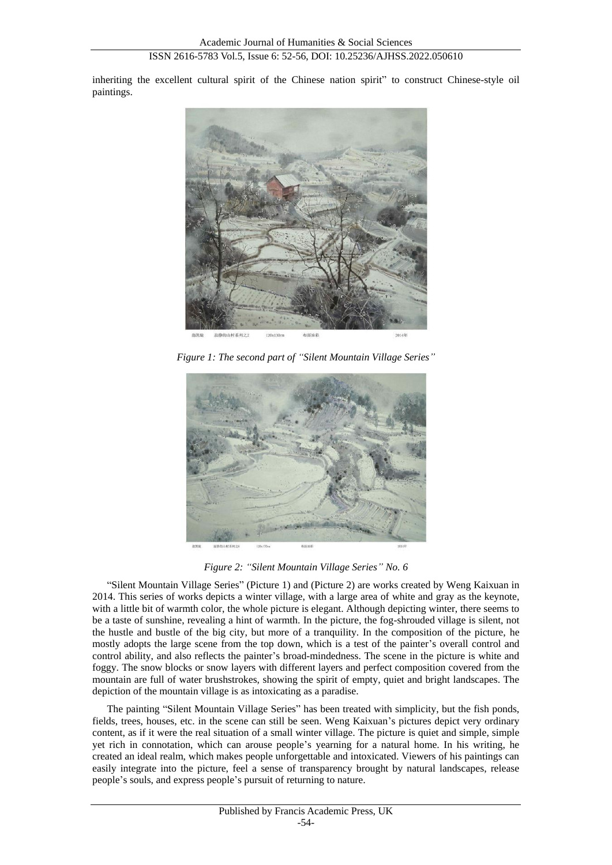inheriting the excellent cultural spirit of the Chinese nation spirit" to construct Chinese-style oil paintings.



*Figure 1: The second part of "Silent Mountain Village Series"*



*Figure 2: "Silent Mountain Village Series" No. 6*

"Silent Mountain Village Series" (Picture 1) and (Picture 2) are works created by Weng Kaixuan in 2014. This series of works depicts a winter village, with a large area of white and gray as the keynote, with a little bit of warmth color, the whole picture is elegant. Although depicting winter, there seems to be a taste of sunshine, revealing a hint of warmth. In the picture, the fog-shrouded village is silent, not the hustle and bustle of the big city, but more of a tranquility. In the composition of the picture, he mostly adopts the large scene from the top down, which is a test of the painter's overall control and control ability, and also reflects the painter's broad-mindedness. The scene in the picture is white and foggy. The snow blocks or snow layers with different layers and perfect composition covered from the mountain are full of water brushstrokes, showing the spirit of empty, quiet and bright landscapes. The depiction of the mountain village is as intoxicating as a paradise.

The painting "Silent Mountain Village Series" has been treated with simplicity, but the fish ponds, fields, trees, houses, etc. in the scene can still be seen. Weng Kaixuan's pictures depict very ordinary content, as if it were the real situation of a small winter village. The picture is quiet and simple, simple yet rich in connotation, which can arouse people's yearning for a natural home. In his writing, he created an ideal realm, which makes people unforgettable and intoxicated. Viewers of his paintings can easily integrate into the picture, feel a sense of transparency brought by natural landscapes, release people's souls, and express people's pursuit of returning to nature.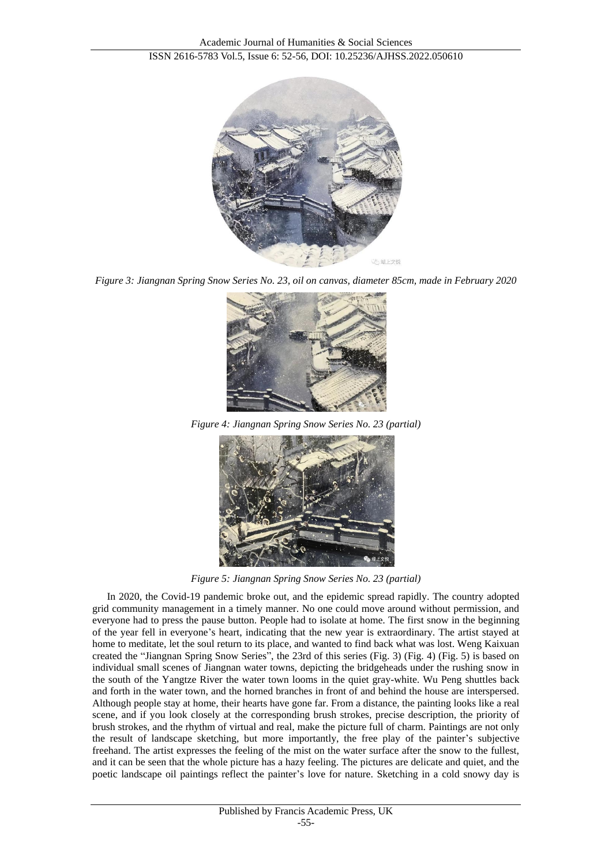

*Figure 3: Jiangnan Spring Snow Series No. 23, oil on canvas, diameter 85cm, made in February 2020*



*Figure 4: Jiangnan Spring Snow Series No. 23 (partial)*



*Figure 5: Jiangnan Spring Snow Series No. 23 (partial)*

In 2020, the Covid-19 pandemic broke out, and the epidemic spread rapidly. The country adopted grid community management in a timely manner. No one could move around without permission, and everyone had to press the pause button. People had to isolate at home. The first snow in the beginning of the year fell in everyone's heart, indicating that the new year is extraordinary. The artist stayed at home to meditate, let the soul return to its place, and wanted to find back what was lost. Weng Kaixuan created the "Jiangnan Spring Snow Series", the 23rd of this series (Fig. 3) (Fig. 4) (Fig. 5) is based on individual small scenes of Jiangnan water towns, depicting the bridgeheads under the rushing snow in the south of the Yangtze River the water town looms in the quiet gray-white. Wu Peng shuttles back and forth in the water town, and the horned branches in front of and behind the house are interspersed. Although people stay at home, their hearts have gone far. From a distance, the painting looks like a real scene, and if you look closely at the corresponding brush strokes, precise description, the priority of brush strokes, and the rhythm of virtual and real, make the picture full of charm. Paintings are not only the result of landscape sketching, but more importantly, the free play of the painter's subjective freehand. The artist expresses the feeling of the mist on the water surface after the snow to the fullest, and it can be seen that the whole picture has a hazy feeling. The pictures are delicate and quiet, and the poetic landscape oil paintings reflect the painter's love for nature. Sketching in a cold snowy day is